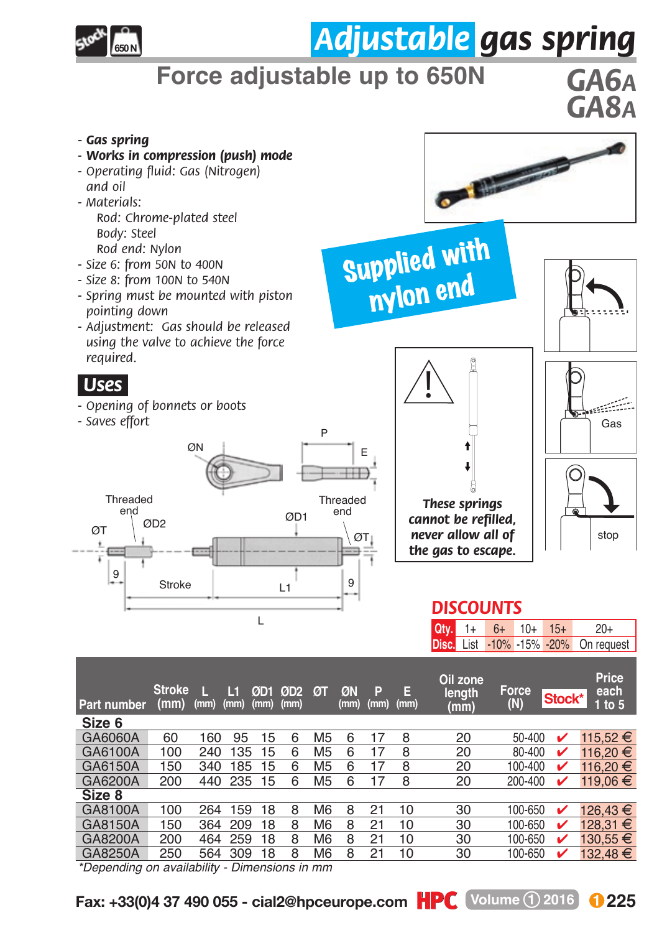

## *Adjustable gas spring*

## **Force adjustable up to 650N** *GA6A*

*GA8A*

*- Gas spring - Works in compression (push) mode* **On the case of** *- Operating fluid: Gas (Nitrogen) and oil - Materials: Rod: Chrome-plated steel Body: Steel* Supplied with *Rod end: Nylon - Size 6: from 50N to 400N - Size 8: from 100N to 540N* nylon end *- Spring must be mounted with piston pointing down - Adjustment: Gas should be released using the valve to achieve the force required.*  ! *.Uses. - Opening of bonnets or boots - Saves effort* Gas P  $\overline{O}N$   $\overline{E}$   $E$ Threaded<br>end *These springs*  readed Threaded Threaded<br>end end and the monomediate of the monomediate of the monomediate of the monomediate of the monomediate of the<br>end and the monomediate of the monomediate of the monomediate of the monomediate of th *cannot be refilled,*  ØD2 ØD1  $\overline{\mathbf{C}}$   $\overline{\mathbf{C}}$   $\overline{\mathbf{C}}$   $\overline{\mathbf{C}}$   $\overline{\mathbf{C}}$   $\overline{\mathbf{C}}$   $\overline{\mathbf{C}}$   $\overline{\mathbf{C}}$   $\overline{\mathbf{C}}$   $\overline{\mathbf{C}}$   $\overline{\mathbf{C}}$   $\overline{\mathbf{C}}$   $\overline{\mathbf{C}}$   $\overline{\mathbf{C}}$   $\overline{\mathbf{C}}$   $\overline{\mathbf{C}}$   $\overline{\mathbf{C}}$   $\overline{\mathbf{C}}$   $\overline{\$ *never allow all of*  stop *the gas to escape.* 9 Stroke | 1 Stroke L1 *DISCOUNTS* L **Qty.**  $10+$ 15+  $1+$  $6+$  $20+$ List **Disc.** -20% -10% -15% On request **Oil zone Price Stroke Force ØT ØN P E length each 1 to 5 <sup>L</sup> L1 ØD1 ØD2 Stock\* (mm) Part number (mm) (mm) (N) (mm) (mm) (mm) (mm) (mm) (mm) Size 6**

| GA6060A                                       | 60  | 160     | 95         | 15 | 6 | M <sub>5</sub> | 6 |    | 8  | 20 | $50 - 400$ |   | 115.52 € |
|-----------------------------------------------|-----|---------|------------|----|---|----------------|---|----|----|----|------------|---|----------|
| GA6100A                                       | 100 | 240     | 135        | 15 | 6 | M <sub>5</sub> | 6 |    | 8  | 20 | 80-400     |   | 116.20 € |
| GA6150A                                       | 150 | 340     | 185        | 15 | 6 | M <sub>5</sub> | 6 |    | 8  | 20 | 100-400    | ✓ | 116.20 € |
| GA6200A                                       | 200 |         | 440 235 15 |    | 6 | M <sub>5</sub> | 6 |    | 8  | 20 | 200-400    | ✓ | 119.06 € |
| Size 8                                        |     |         |            |    |   |                |   |    |    |    |            |   |          |
| GA8100A                                       | 100 | 264     | 159        | 18 | 8 | M6             | 8 |    | 10 | 30 | 100-650    | v | 126.43 € |
| GA8150A                                       | 150 |         | 364 209    | 18 | 8 | M <sub>6</sub> | 8 | 21 | 10 | 30 | 100-650    |   | 128.31 € |
| GA8200A                                       | 200 | 464 259 |            | 18 | 8 | M <sub>6</sub> | 8 | 21 | 10 | 30 | 100-650    | び | 130.55 € |
| GA8250A                                       | 250 | 564     | 309        | 18 | 8 | M <sub>6</sub> | 8 | 21 | 10 | 30 | 100-650    | ັ | 132.48 € |
| *Depending on conditions. Discovering in proc |     |         |            |    |   |                |   |    |    |    |            |   |          |

*\*Depending on availability - Dimensions in mm*